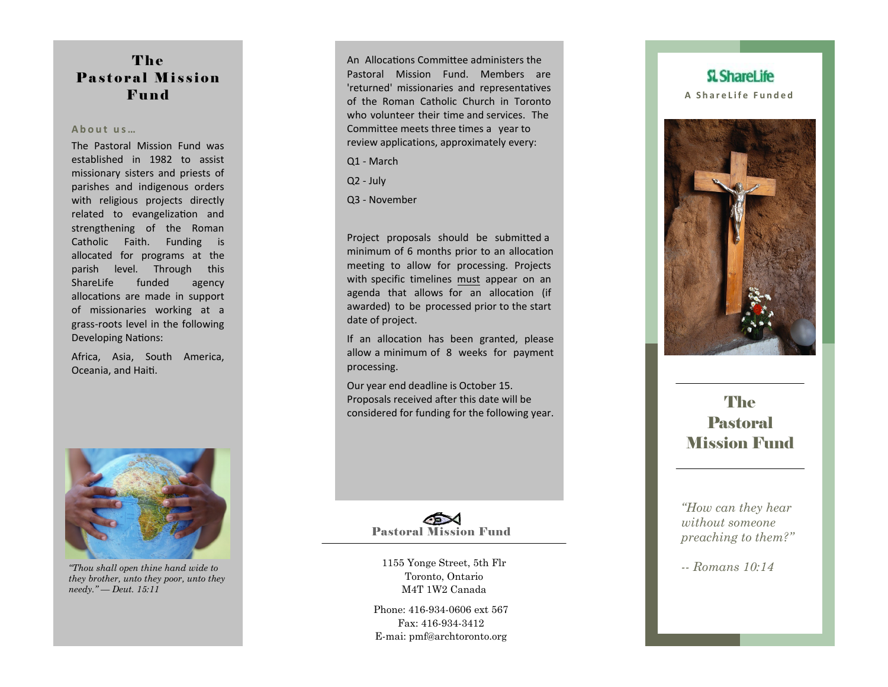## The Pastoral Mission **Fund**

## **A b o u t u s …**

The Pastoral Mission Fund was established in 1982 to assist missionary sisters and priests of parishes and indigenous orders with religious projects directly related to evangelization and strengthening of the Roman Catholic Faith. Funding is allocated for programs at the parish level. Through this ShareLife funded agency allocations are made in support of missionaries working at a grass -roots level in the following Developing Nations:

Africa, Asia, South America, Oceania, and Haiti.



*"Thou shall open thine hand wide to they brother, unto they poor, unto they needy." — Deut. 15:11* 

An Allocations Committee administers the Pastoral Mission Fund. Members are 'returned' missionaries and representatives of the Roman Catholic Church in Toronto who volunteer their time and services. The Committee meets three times a year to review applications, approximately every:

Q1 - March

Q2 - July

Q3 - November

Project proposals should be submitted a minimum of 6 months prior to an allocation meeting to allow for processing. Projects with specific timelines must appear on an agenda that allows for an allocation (if awarded) to be processed prior to the start date of project.

If an allocation has been granted, please allow a minimum of 8 weeks for payment processing.

Our year end deadline is October 15 . Proposals received after this date will be considered for funding for the following year.

Pastoral Mission Fund

1155 Yonge Street, 5th Flr Toronto, Ontario M4T 1W2 Canada

Phone: 416-934-0606 ext 567 Fax: 416-934-3412 E-mai: pmf@archtoronto.org





# **The** Pastoral Mission Fund

*"How can they hear without someone preaching to them?"*

*-- Romans 10:14*